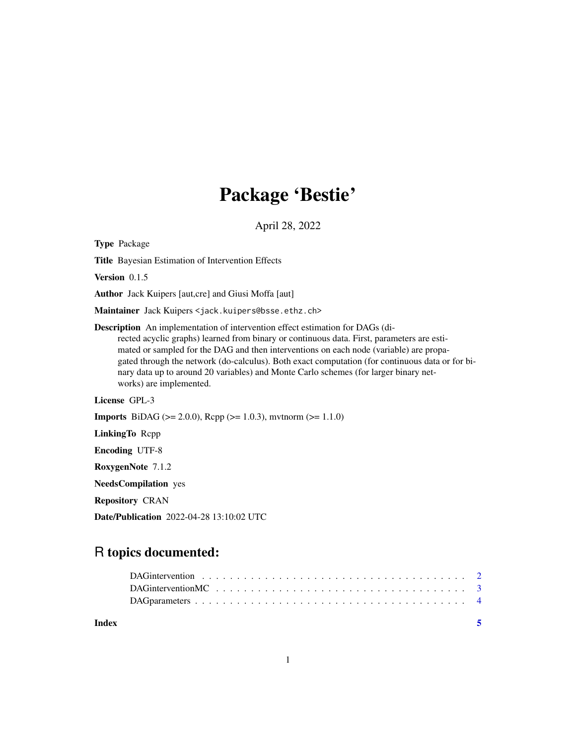## Package 'Bestie'

April 28, 2022

<span id="page-0-0"></span>Type Package Title Bayesian Estimation of Intervention Effects Version 0.1.5 Author Jack Kuipers [aut,cre] and Giusi Moffa [aut] Maintainer Jack Kuipers <jack.kuipers@bsse.ethz.ch> Description An implementation of intervention effect estimation for DAGs (directed acyclic graphs) learned from binary or continuous data. First, parameters are estimated or sampled for the DAG and then interventions on each node (variable) are propagated through the network (do-calculus). Both exact computation (for continuous data or for binary data up to around 20 variables) and Monte Carlo schemes (for larger binary networks) are implemented. License GPL-3 **Imports** BiDAG ( $>= 2.0.0$ ), Rcpp ( $>= 1.0.3$ ), mvtnorm ( $>= 1.1.0$ ) LinkingTo Rcpp Encoding UTF-8 RoxygenNote 7.1.2 NeedsCompilation yes Repository CRAN

Date/Publication 2022-04-28 13:10:02 UTC

### R topics documented:

**Index** [5](#page-4-0). The second state of the second state of the second state of the second state of the second state of the second state of the second state of the second state of the second state of the second state of the second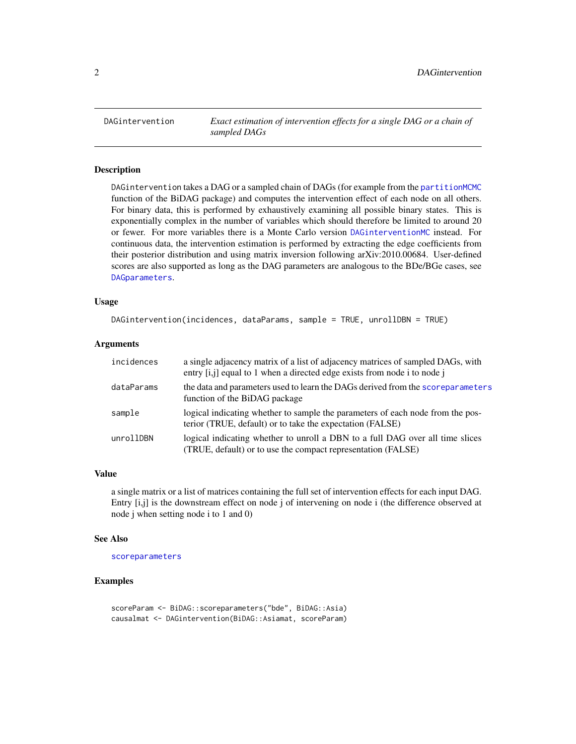<span id="page-1-0"></span>

#### **Description**

DAGintervention takes a DAG or a sampled chain of DAGs (for example from the [partitionMCMC](#page-0-0) function of the BiDAG package) and computes the intervention effect of each node on all others. For binary data, this is performed by exhaustively examining all possible binary states. This is exponentially complex in the number of variables which should therefore be limited to around 20 or fewer. For more variables there is a Monte Carlo version [DAGinterventionMC](#page-2-1) instead. For continuous data, the intervention estimation is performed by extracting the edge coefficients from their posterior distribution and using matrix inversion following arXiv:2010.00684. User-defined scores are also supported as long as the DAG parameters are analogous to the BDe/BGe cases, see [DAGparameters](#page-3-1).

#### Usage

```
DAGintervention(incidences, dataParams, sample = TRUE, unrollDBN = TRUE)
```
#### Arguments

| incidences | a single adjacency matrix of a list of adjacency matrices of sampled DAGs, with<br>entry [i,j] equal to 1 when a directed edge exists from node i to node j |
|------------|-------------------------------------------------------------------------------------------------------------------------------------------------------------|
| dataParams | the data and parameters used to learn the DAGs derived from the scoreparameters<br>function of the BiDAG package                                            |
| sample     | logical indicating whether to sample the parameters of each node from the pos-<br>terior (TRUE, default) or to take the expectation (FALSE)                 |
| unrollDBN  | logical indicating whether to unroll a DBN to a full DAG over all time slices<br>(TRUE, default) or to use the compact representation (FALSE)               |

#### Value

a single matrix or a list of matrices containing the full set of intervention effects for each input DAG. Entry [i,j] is the downstream effect on node j of intervening on node i (the difference observed at node j when setting node i to 1 and 0)

#### See Also

[scoreparameters](#page-0-0)

#### Examples

scoreParam <- BiDAG::scoreparameters("bde", BiDAG::Asia) causalmat <- DAGintervention(BiDAG::Asiamat, scoreParam)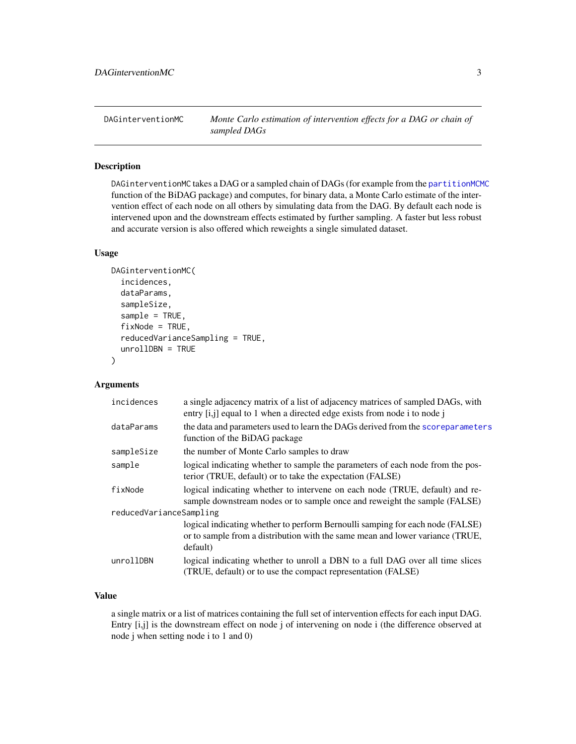<span id="page-2-1"></span><span id="page-2-0"></span>DAGinterventionMC *Monte Carlo estimation of intervention effects for a DAG or chain of sampled DAGs*

#### Description

DAGinterventionMC takes a DAG or a sampled chain of DAGs (for example from the [partitionMCMC](#page-0-0) function of the BiDAG package) and computes, for binary data, a Monte Carlo estimate of the intervention effect of each node on all others by simulating data from the DAG. By default each node is intervened upon and the downstream effects estimated by further sampling. A faster but less robust and accurate version is also offered which reweights a single simulated dataset.

#### Usage

```
DAGinterventionMC(
  incidences,
  dataParams,
  sampleSize,
  sample = TRUE,
  fixNode = TRUE,
  reducedVarianceSampling = TRUE,
  unrollDBN = TRUE
)
```
#### Arguments

| incidences              | a single adjacency matrix of a list of adjacency matrices of sampled DAGs, with<br>entry [i,j] equal to 1 when a directed edge exists from node i to node j                |
|-------------------------|----------------------------------------------------------------------------------------------------------------------------------------------------------------------------|
| dataParams              | the data and parameters used to learn the DAGs derived from the scoreparameters<br>function of the BiDAG package                                                           |
| sampleSize              | the number of Monte Carlo samples to draw                                                                                                                                  |
| sample                  | logical indicating whether to sample the parameters of each node from the pos-<br>terior (TRUE, default) or to take the expectation (FALSE)                                |
| fixNode                 | logical indicating whether to intervene on each node (TRUE, default) and re-<br>sample downstream nodes or to sample once and reweight the sample (FALSE)                  |
| reducedVarianceSampling |                                                                                                                                                                            |
|                         | logical indicating whether to perform Bernoulli samping for each node (FALSE)<br>or to sample from a distribution with the same mean and lower variance (TRUE,<br>default) |
| unrollDBN               | logical indicating whether to unroll a DBN to a full DAG over all time slices<br>(TRUE, default) or to use the compact representation (FALSE)                              |

#### Value

a single matrix or a list of matrices containing the full set of intervention effects for each input DAG. Entry [i,j] is the downstream effect on node j of intervening on node i (the difference observed at node j when setting node i to 1 and 0)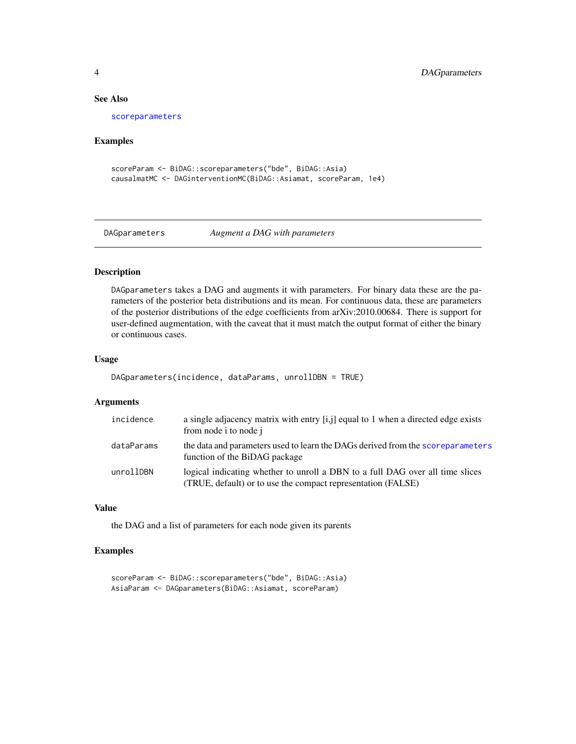#### See Also

[scoreparameters](#page-0-0)

#### Examples

```
scoreParam <- BiDAG::scoreparameters("bde", BiDAG::Asia)
causalmatMC <- DAGinterventionMC(BiDAG::Asiamat, scoreParam, 1e4)
```

```
DAGparameters Augment a DAG with parameters
```
#### Description

DAGparameters takes a DAG and augments it with parameters. For binary data these are the parameters of the posterior beta distributions and its mean. For continuous data, these are parameters of the posterior distributions of the edge coefficients from arXiv:2010.00684. There is support for user-defined augmentation, with the caveat that it must match the output format of either the binary or continuous cases.

#### Usage

```
DAGparameters(incidence, dataParams, unrollDBN = TRUE)
```
#### Arguments

| incidence  | a single adjacency matrix with entry [i,j] equal to 1 when a directed edge exists<br>from node i to node j                                    |
|------------|-----------------------------------------------------------------------------------------------------------------------------------------------|
| dataParams | the data and parameters used to learn the DAGs derived from the scoreparameters<br>function of the BiDAG package                              |
| unrollDBN  | logical indicating whether to unroll a DBN to a full DAG over all time slices<br>(TRUE, default) or to use the compact representation (FALSE) |

#### Value

the DAG and a list of parameters for each node given its parents

#### Examples

```
scoreParam <- BiDAG::scoreparameters("bde", BiDAG::Asia)
AsiaParam <- DAGparameters(BiDAG::Asiamat, scoreParam)
```
<span id="page-3-0"></span>